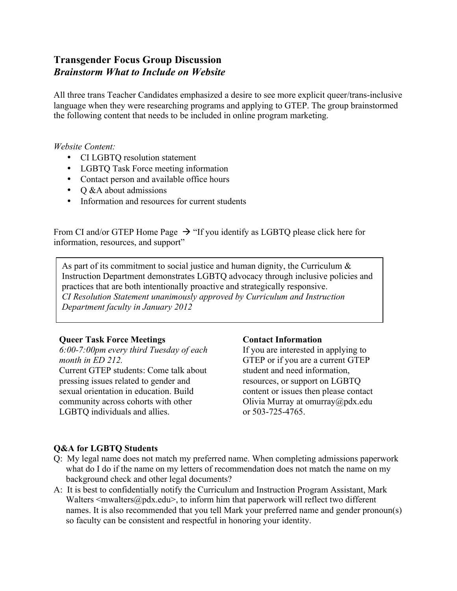# **Transgender Focus Group Discussion** *Brainstorm What to Include on Website*

All three trans Teacher Candidates emphasized a desire to see more explicit queer/trans-inclusive language when they were researching programs and applying to GTEP. The group brainstormed the following content that needs to be included in online program marketing.

*Website Content:*

- CI LGBTQ resolution statement
- LGBTQ Task Force meeting information
- Contact person and available office hours
- $\bullet$  O &A about admissions
- Information and resources for current students

From CI and/or GTEP Home Page  $\rightarrow$  "If you identify as LGBTQ please click here for information, resources, and support"

As part of its commitment to social justice and human dignity, the Curriculum  $\&$ Instruction Department demonstrates LGBTQ advocacy through inclusive policies and practices that are both intentionally proactive and strategically responsive. *CI Resolution Statement unanimously approved by Curriculum and Instruction Department faculty in January 2012*

## **Queer Task Force Meetings**

*6:00-7:00pm every third Tuesday of each month in ED 212.* Current GTEP students: Come talk about pressing issues related to gender and sexual orientation in education. Build community across cohorts with other LGBTQ individuals and allies.

## **Contact Information**

If you are interested in applying to GTEP or if you are a current GTEP student and need information, resources, or support on LGBTQ content or issues then please contact Olivia Murray at omurray@pdx.edu or 503-725-4765.

## **Q&A for LGBTQ Students**

- Q: My legal name does not match my preferred name. When completing admissions paperwork what do I do if the name on my letters of recommendation does not match the name on my background check and other legal documents?
- A: It is best to confidentially notify the Curriculum and Instruction Program Assistant, Mark Walters  $\langle$  mwalters $\langle \omega \rangle$  and  $\langle \omega \rangle$ , to inform him that paperwork will reflect two different names. It is also recommended that you tell Mark your preferred name and gender pronoun(s) so faculty can be consistent and respectful in honoring your identity.